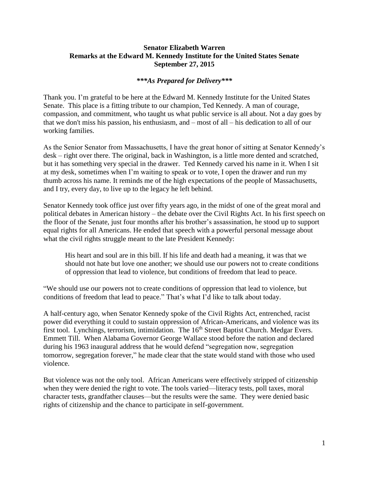## **Senator Elizabeth Warren Remarks at the Edward M. Kennedy Institute for the United States Senate September 27, 2015**

## *\*\*\*As Prepared for Delivery\*\*\**

Thank you. I'm grateful to be here at the Edward M. Kennedy Institute for the United States Senate. This place is a fitting tribute to our champion, Ted Kennedy. A man of courage, compassion, and commitment, who taught us what public service is all about. Not a day goes by that we don't miss his passion, his enthusiasm, and – most of all – his dedication to all of our working families.

As the Senior Senator from Massachusetts, I have the great honor of sitting at Senator Kennedy's desk – right over there. The original, back in Washington, is a little more dented and scratched, but it has something very special in the drawer. Ted Kennedy carved his name in it. When I sit at my desk, sometimes when I'm waiting to speak or to vote, I open the drawer and run my thumb across his name. It reminds me of the high expectations of the people of Massachusetts, and I try, every day, to live up to the legacy he left behind.

Senator Kennedy took office just over fifty years ago, in the midst of one of the great moral and political debates in American history – the debate over the Civil Rights Act. In his first speech on the floor of the Senate, just four months after his brother's assassination, he stood up to support equal rights for all Americans. He ended that speech with a powerful personal message about what the civil rights struggle meant to the late President Kennedy:

His heart and soul are in this bill. If his life and death had a meaning, it was that we should not hate but love one another; we should use our powers not to create conditions of oppression that lead to violence, but conditions of freedom that lead to peace.

"We should use our powers not to create conditions of oppression that lead to violence, but conditions of freedom that lead to peace." That's what I'd like to talk about today.

A half-century ago, when Senator Kennedy spoke of the Civil Rights Act, entrenched, racist power did everything it could to sustain oppression of African-Americans, and violence was its first tool. Lynchings, terrorism, intimidation. The 16<sup>th</sup> Street Baptist Church. Medgar Evers. Emmett Till. When Alabama Governor George Wallace stood before the nation and declared during his 1963 inaugural address that he would defend "segregation now, segregation tomorrow, segregation forever," he made clear that the state would stand with those who used violence.

But violence was not the only tool. African Americans were effectively stripped of citizenship when they were denied the right to vote. The tools varied—literacy tests, poll taxes, moral character tests, grandfather clauses—but the results were the same. They were denied basic rights of citizenship and the chance to participate in self-government.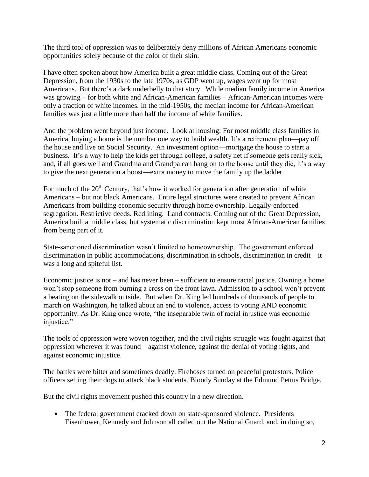The third tool of oppression was to deliberately deny millions of African Americans economic opportunities solely because of the color of their skin.

I have often spoken about how America built a great middle class. Coming out of the Great Depression, from the 1930s to the late 1970s, as GDP went up, wages went up for most Americans. But there's a dark underbelly to that story. While median family income in America was growing – for both white and African-American families – African-American incomes were only a fraction of white incomes. In the mid-1950s, the median income for African-American families was just a little more than half the income of white families.

And the problem went beyond just income. Look at housing: For most middle class families in America, buying a home is the number one way to build wealth. It's a retirement plan—pay off the house and live on Social Security. An investment option—mortgage the house to start a business. It's a way to help the kids get through college, a safety net if someone gets really sick, and, if all goes well and Grandma and Grandpa can hang on to the house until they die, it's a way to give the next generation a boost—extra money to move the family up the ladder.

For much of the  $20<sup>th</sup>$  Century, that's how it worked for generation after generation of white Americans – but not black Americans. Entire legal structures were created to prevent African Americans from building economic security through home ownership. Legally-enforced segregation. Restrictive deeds. Redlining. Land contracts. Coming out of the Great Depression, America built a middle class, but systematic discrimination kept most African-American families from being part of it.

State-sanctioned discrimination wasn't limited to homeownership. The government enforced discrimination in public accommodations, discrimination in schools, discrimination in credit—it was a long and spiteful list.

Economic justice is not – and has never been – sufficient to ensure racial justice. Owning a home won't stop someone from burning a cross on the front lawn. Admission to a school won't prevent a beating on the sidewalk outside. But when Dr. King led hundreds of thousands of people to march on Washington, he talked about an end to violence, access to voting AND economic opportunity. As Dr. King once wrote, "the inseparable twin of racial injustice was economic injustice."

The tools of oppression were woven together, and the civil rights struggle was fought against that oppression wherever it was found – against violence, against the denial of voting rights, and against economic injustice.

The battles were bitter and sometimes deadly. Firehoses turned on peaceful protestors. Police officers setting their dogs to attack black students. Bloody Sunday at the Edmund Pettus Bridge.

But the civil rights movement pushed this country in a new direction.

• The federal government cracked down on state-sponsored violence. Presidents Eisenhower, Kennedy and Johnson all called out the National Guard, and, in doing so,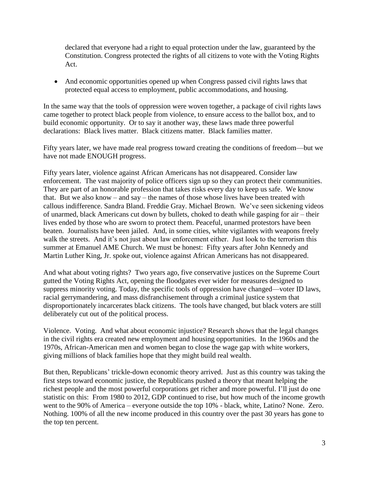declared that everyone had a right to equal protection under the law, guaranteed by the Constitution. Congress protected the rights of all citizens to vote with the Voting Rights Act.

 And economic opportunities opened up when Congress passed civil rights laws that protected equal access to employment, public accommodations, and housing.

In the same way that the tools of oppression were woven together, a package of civil rights laws came together to protect black people from violence, to ensure access to the ballot box, and to build economic opportunity. Or to say it another way, these laws made three powerful declarations: Black lives matter. Black citizens matter. Black families matter.

Fifty years later, we have made real progress toward creating the conditions of freedom—but we have not made ENOUGH progress.

Fifty years later, violence against African Americans has not disappeared. Consider law enforcement. The vast majority of police officers sign up so they can protect their communities. They are part of an honorable profession that takes risks every day to keep us safe. We know that. But we also know – and say – the names of those whose lives have been treated with callous indifference. Sandra Bland. Freddie Gray. Michael Brown. We've seen sickening videos of unarmed, black Americans cut down by bullets, choked to death while gasping for air – their lives ended by those who are sworn to protect them. Peaceful, unarmed protestors have been beaten. Journalists have been jailed. And, in some cities, white vigilantes with weapons freely walk the streets. And it's not just about law enforcement either. Just look to the terrorism this summer at Emanuel AME Church. We must be honest: Fifty years after John Kennedy and Martin Luther King, Jr. spoke out, violence against African Americans has not disappeared.

And what about voting rights? Two years ago, five conservative justices on the Supreme Court gutted the Voting Rights Act, opening the floodgates ever wider for measures designed to suppress minority voting. Today, the specific tools of oppression have changed—voter ID laws, racial gerrymandering, and mass disfranchisement through a criminal justice system that disproportionately incarcerates black citizens. The tools have changed, but black voters are still deliberately cut out of the political process.

Violence. Voting. And what about economic injustice? Research shows that the legal changes in the civil rights era created new employment and housing opportunities. In the 1960s and the 1970s, African-American men and women began to close the wage gap with white workers, giving millions of black families hope that they might build real wealth.

But then, Republicans' trickle-down economic theory arrived. Just as this country was taking the first steps toward economic justice, the Republicans pushed a theory that meant helping the richest people and the most powerful corporations get richer and more powerful. I'll just do one statistic on this: From 1980 to 2012, GDP continued to rise, but how much of the income growth went to the 90% of America – everyone outside the top 10% - black, white, Latino? None. Zero. Nothing. 100% of all the new income produced in this country over the past 30 years has gone to the top ten percent.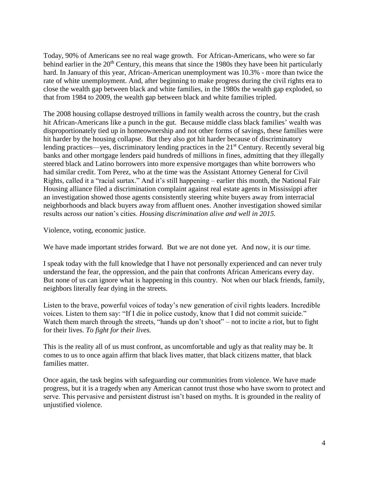Today, 90% of Americans see no real wage growth. For African-Americans, who were so far behind earlier in the 20<sup>th</sup> Century, this means that since the 1980s they have been hit particularly hard. In January of this year, African-American unemployment was 10.3% - more than twice the rate of white unemployment. And, after beginning to make progress during the civil rights era to close the wealth gap between black and white families, in the 1980s the wealth gap exploded, so that from 1984 to 2009, the wealth gap between black and white families tripled.

The 2008 housing collapse destroyed trillions in family wealth across the country, but the crash hit African-Americans like a punch in the gut. Because middle class black families' wealth was disproportionately tied up in homeownership and not other forms of savings, these families were hit harder by the housing collapse. But they also got hit harder because of discriminatory lending practices—yes, discriminatory lending practices in the 21<sup>st</sup> Century. Recently several big banks and other mortgage lenders paid hundreds of millions in fines, admitting that they illegally steered black and Latino borrowers into more expensive mortgages than white borrowers who had similar credit. Tom Perez, who at the time was the Assistant Attorney General for Civil Rights, called it a "racial surtax." And it's still happening – earlier this month, the National Fair Housing alliance filed a discrimination complaint against real estate agents in Mississippi after an investigation showed those agents consistently steering white buyers away from interracial neighborhoods and black buyers away from affluent ones. Another investigation showed similar results across our nation's cities. *Housing discrimination alive and well in 2015.*

Violence, voting, economic justice.

We have made important strides forward. But we are not done yet. And now, it is *our* time.

I speak today with the full knowledge that I have not personally experienced and can never truly understand the fear, the oppression, and the pain that confronts African Americans every day. But none of us can ignore what is happening in this country. Not when our black friends, family, neighbors literally fear dying in the streets.

Listen to the brave, powerful voices of today's new generation of civil rights leaders. Incredible voices. Listen to them say: "If I die in police custody, know that I did not commit suicide." Watch them march through the streets, "hands up don't shoot" – not to incite a riot, but to fight for their lives. *To fight for their lives.*

This is the reality all of us must confront, as uncomfortable and ugly as that reality may be. It comes to us to once again affirm that black lives matter, that black citizens matter, that black families matter.

Once again, the task begins with safeguarding our communities from violence. We have made progress, but it is a tragedy when any American cannot trust those who have sworn to protect and serve. This pervasive and persistent distrust isn't based on myths. It is grounded in the reality of unjustified violence.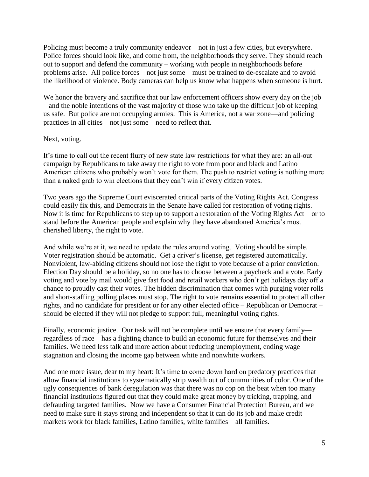Policing must become a truly community endeavor—not in just a few cities, but everywhere. Police forces should look like, and come from, the neighborhoods they serve. They should reach out to support and defend the community – working with people in neighborhoods before problems arise. All police forces—not just some—must be trained to de-escalate and to avoid the likelihood of violence. Body cameras can help us know what happens when someone is hurt.

We honor the bravery and sacrifice that our law enforcement officers show every day on the job – and the noble intentions of the vast majority of those who take up the difficult job of keeping us safe. But police are not occupying armies. This is America, not a war zone—and policing practices in all cities—not just some—need to reflect that.

## Next, voting.

It's time to call out the recent flurry of new state law restrictions for what they are: an all-out campaign by Republicans to take away the right to vote from poor and black and Latino American citizens who probably won't vote for them. The push to restrict voting is nothing more than a naked grab to win elections that they can't win if every citizen votes.

Two years ago the Supreme Court eviscerated critical parts of the Voting Rights Act. Congress could easily fix this, and Democrats in the Senate have called for restoration of voting rights. Now it is time for Republicans to step up to support a restoration of the Voting Rights Act—or to stand before the American people and explain why they have abandoned America's most cherished liberty, the right to vote.

And while we're at it, we need to update the rules around voting. Voting should be simple. Voter registration should be automatic. Get a driver's license, get registered automatically. Nonviolent, law-abiding citizens should not lose the right to vote because of a prior conviction. Election Day should be a holiday, so no one has to choose between a paycheck and a vote. Early voting and vote by mail would give fast food and retail workers who don't get holidays day off a chance to proudly cast their votes. The hidden discrimination that comes with purging voter rolls and short-staffing polling places must stop. The right to vote remains essential to protect all other rights, and no candidate for president or for any other elected office – Republican or Democrat – should be elected if they will not pledge to support full, meaningful voting rights.

Finally, economic justice. Our task will not be complete until we ensure that every family regardless of race—has a fighting chance to build an economic future for themselves and their families. We need less talk and more action about reducing unemployment, ending wage stagnation and closing the income gap between white and nonwhite workers.

And one more issue, dear to my heart: It's time to come down hard on predatory practices that allow financial institutions to systematically strip wealth out of communities of color. One of the ugly consequences of bank deregulation was that there was no cop on the beat when too many financial institutions figured out that they could make great money by tricking, trapping, and defrauding targeted families. Now we have a Consumer Financial Protection Bureau, and we need to make sure it stays strong and independent so that it can do its job and make credit markets work for black families, Latino families, white families – all families.